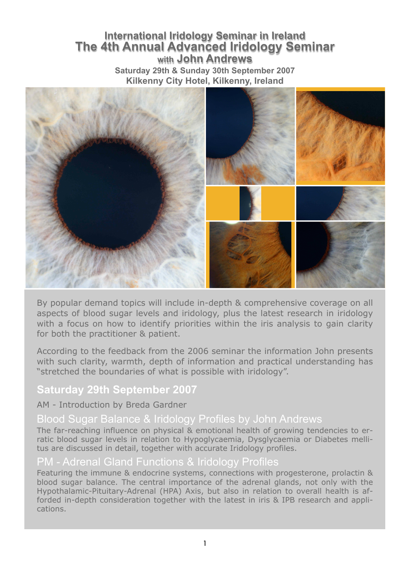# **International Iridology Seminar in Ireland The 4th Annual Advanced Iridology Seminar with John Andrews Saturday 29th & Sunday 30th September 2007 Kilkenny City Hotel, Kilkenny, Ireland**



By popular demand topics will include in-depth & comprehensive coverage on all aspects of blood sugar levels and iridology, plus the latest research in iridology with a focus on how to identify priorities within the iris analysis to gain clarity for both the practitioner & patient.

According to the feedback from the 2006 seminar the information John presents with such clarity, warmth, depth of information and practical understanding has "stretched the boundaries of what is possible with iridology".

# **Saturday 29th September 2007**

#### AM - Introduction by Breda Gardner

# Blood Sugar Balance & Iridology Profiles by John Andrews

The far-reaching influence on physical & emotional health of growing tendencies to erratic blood sugar levels in relation to Hypoglycaemia, Dysglycaemia or Diabetes mellitus are discussed in detail, together with accurate Iridology profiles.

#### PM - Adrenal Gland Functions & Iridology Profiles

Featuring the immune & endocrine systems, connections with progesterone, prolactin & blood sugar balance. The central importance of the adrenal glands, not only with the Hypothalamic-Pituitary-Adrenal (HPA) Axis, but also in relation to overall health is afforded in-depth consideration together with the latest in iris & IPB research and applications.